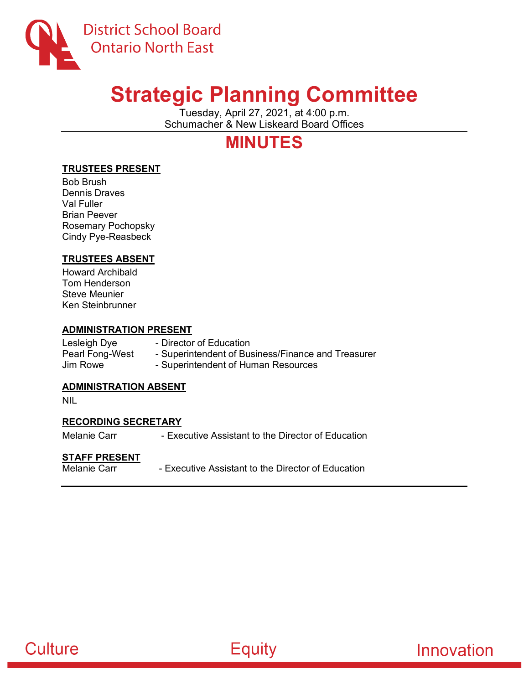

# **Strategic Planning Committee**

Tuesday, April 27, 2021, at 4:00 p.m. Schumacher & New Liskeard Board Offices

# **MINUTES**

## **TRUSTEES PRESENT**

Bob Brush Dennis Draves Val Fuller Brian Peever Rosemary Pochopsky Cindy Pye-Reasbeck

### **TRUSTEES ABSENT**

Howard Archibald Tom Henderson Steve Meunier Ken Steinbrunner

#### **ADMINISTRATION PRESENT**

Lesleigh Dye **- Director of Education**<br>Pearl Fong-West - Superintendent of Bu - Superintendent of Business/Finance and Treasurer Jim Rowe - Superintendent of Human Resources

### **ADMINISTRATION ABSENT**

NIL

### **RECORDING SECRETARY**

Melanie Carr **- Executive Assistant to the Director of Education** 

# **STAFF PRESENT**

- Executive Assistant to the Director of Education



Innovation